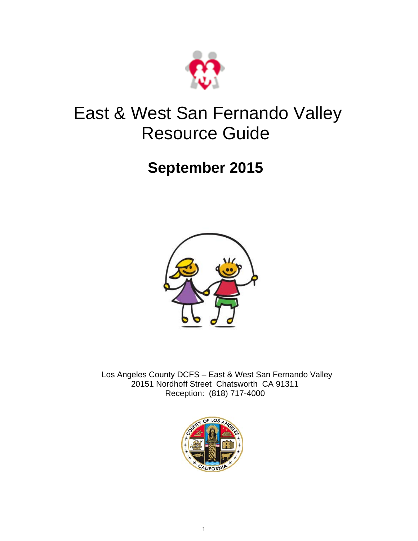

#### East & West San Fernando Valley Resource Guide

#### **September 2015**



 Los Angeles County DCFS – East & West San Fernando Valley 20151 Nordhoff Street Chatsworth CA 91311 Reception: (818) 717-4000

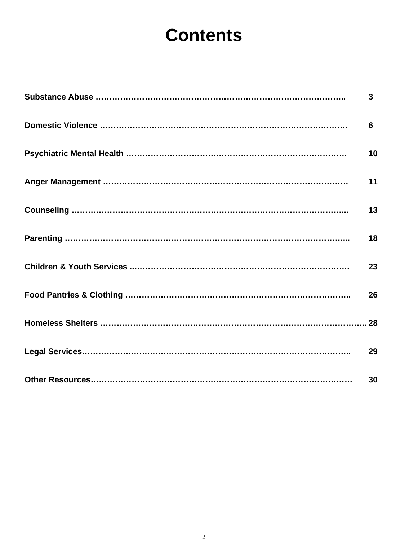### **Contents**

| $\mathbf{3}$ |
|--------------|
| 6            |
| 10           |
| 11           |
| 13           |
| 18           |
| 23           |
| 26           |
|              |
| 29           |
| 30           |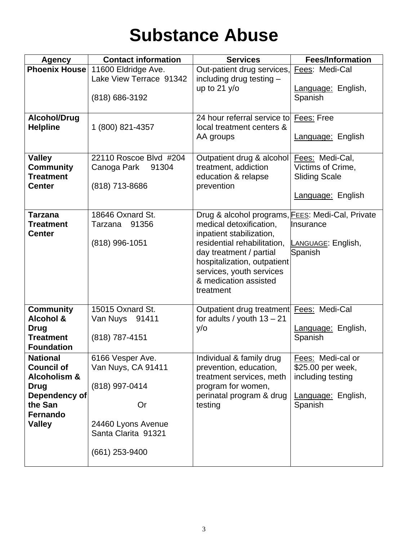### **Substance Abuse**

| <b>Agency</b>                                                                                                                           | <b>Contact information</b>                                                                                                   | <b>Services</b>                                                                                                                                                                                                                                                    | <b>Fees/Information</b>                                                                      |
|-----------------------------------------------------------------------------------------------------------------------------------------|------------------------------------------------------------------------------------------------------------------------------|--------------------------------------------------------------------------------------------------------------------------------------------------------------------------------------------------------------------------------------------------------------------|----------------------------------------------------------------------------------------------|
|                                                                                                                                         | Phoenix House 11600 Eldridge Ave.                                                                                            | Out-patient drug services,                                                                                                                                                                                                                                         | Fees: Medi-Cal                                                                               |
|                                                                                                                                         | Lake View Terrace 91342<br>(818) 686-3192                                                                                    | including drug testing -<br>up to $21 y/o$                                                                                                                                                                                                                         | Language: English,<br>Spanish                                                                |
| <b>Alcohol/Drug</b><br><b>Helpline</b>                                                                                                  | 1 (800) 821-4357                                                                                                             | 24 hour referral service to Fees: Free<br>local treatment centers &<br>AA groups                                                                                                                                                                                   | Language: English                                                                            |
| <b>Valley</b><br><b>Community</b><br><b>Treatment</b><br><b>Center</b>                                                                  | 22110 Roscoe Blvd #204<br>Canoga Park<br>91304<br>(818) 713-8686                                                             | Outpatient drug & alcohol Fees: Medi-Cal,<br>treatment, addiction<br>education & relapse<br>prevention                                                                                                                                                             | Victims of Crime,<br><b>Sliding Scale</b><br>Language: English                               |
| <b>Tarzana</b><br><b>Treatment</b><br><b>Center</b>                                                                                     | 18646 Oxnard St.<br>91356<br>Tarzana<br>(818) 996-1051                                                                       | Drug & alcohol programs, FEES: Medi-Cal, Private<br>medical detoxification,<br>inpatient stabilization,<br>residential rehabilitation,<br>day treatment / partial<br>hospitalization, outpatient<br>services, youth services<br>& medication assisted<br>treatment | llnsurance<br>LANGUAGE: English,<br>Spanish                                                  |
| <b>Community</b><br><b>Alcohol &amp;</b><br><b>Drug</b><br><b>Treatment</b><br><b>Foundation</b>                                        | 15015 Oxnard St.<br>Van Nuys 91411<br>(818) 787-4151                                                                         | Outpatient drug treatment Fees: Medi-Cal<br>for adults / youth $13 - 21$<br>y/o                                                                                                                                                                                    | Language: English,<br>Spanish                                                                |
| <b>National</b><br><b>Council of</b><br><b>Alcoholism &amp;</b><br><b>Drug</b><br>Dependency of<br>the San<br>Fernando<br><b>Valley</b> | 6166 Vesper Ave<br>Van Nuys, CA 91411<br>(818) 997-0414<br>Or<br>24460 Lyons Avenue<br>Santa Clarita 91321<br>(661) 253-9400 | Individual & family drug<br>prevention, education,<br>treatment services, meth<br>program for women,<br>perinatal program & drug<br>testing                                                                                                                        | Fees: Medi-cal or<br>\$25.00 per week,<br>including testing<br>Language: English,<br>Spanish |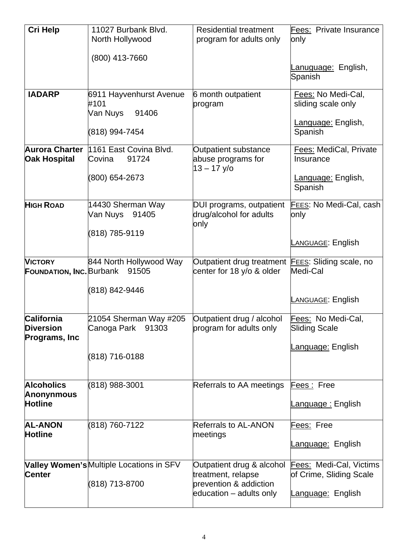| <b>Cri Help</b>                                          | 11027 Burbank Blvd.<br>North Hollywood                                             | <b>Residential treatment</b><br>program for adults only                                              | Fees: Private Insurance<br>only                                                |
|----------------------------------------------------------|------------------------------------------------------------------------------------|------------------------------------------------------------------------------------------------------|--------------------------------------------------------------------------------|
|                                                          | (800) 413-7660                                                                     |                                                                                                      | <u>Lanuguage:</u> English,<br>Spanish                                          |
| <b>IADARP</b>                                            | 6911 Hayvenhurst Avenue<br>#101<br>Van Nuys<br>91406<br>(818) 994-7454             | 6 month outpatient<br>program                                                                        | Fees: No Medi-Cal,<br>sliding scale only<br>Language: English,<br>Spanish      |
| <b>Oak Hospital</b>                                      | Aurora Charter 1161 East Covina Blvd.<br>Covina<br>91724<br>(800) 654-2673         | <b>Outpatient substance</b><br>abuse programs for<br>$13 - 17$ y/o                                   | <b>Fees: MediCal, Private</b><br>Insurance<br>Language: English,<br>Spanish    |
| <b>HIGH ROAD</b>                                         | 14430 Sherman Way<br>Van Nuys 91405<br>(818) 785-9119                              | DUI programs, outpatient<br>drug/alcohol for adults<br>only                                          | FEES: No Medi-Cal, cash<br>only<br><b>LANGUAGE: English</b>                    |
| <b>VICTORY</b>                                           | 844 North Hollywood Way<br><b>FOUNDATION, INC. Burbank</b> 91505<br>(818) 842-9446 | Outpatient drug treatment <b>FEES:</b> Sliding scale, no<br>center for 18 y/o & older                | Medi-Cal<br>LANGUAGE: English                                                  |
| California<br><b>Diversion</b><br>Programs, Inc.         | 21054 Sherman Way #205<br>Canoga Park 91303<br>(818) 716-0188                      | Outpatient drug / alcohol<br>program for adults only                                                 | Fees: No Medi-Cal,<br><b>Sliding Scale</b><br>Language: English                |
| <b>Alcoholics</b><br><b>Anonynmous</b><br><b>Hotline</b> | (818) 988-3001                                                                     | Referrals to AA meetings                                                                             | Fees: Free<br><u> Language :</u> English                                       |
| <b>AL-ANON</b><br><b>Hotline</b>                         | (818) 760-7122                                                                     | <b>Referrals to AL-ANON</b><br>meetings                                                              | Fees: Free<br><u>Language:</u> English                                         |
| <b>Center</b>                                            | Valley Women's Multiple Locations in SFV<br>(818) 713-8700                         | Outpatient drug & alcohol<br>treatment, relapse<br>prevention & addiction<br>education – adults only | <b>Fees: Medi-Cal, Victims</b><br>of Crime, Sliding Scale<br>Language: English |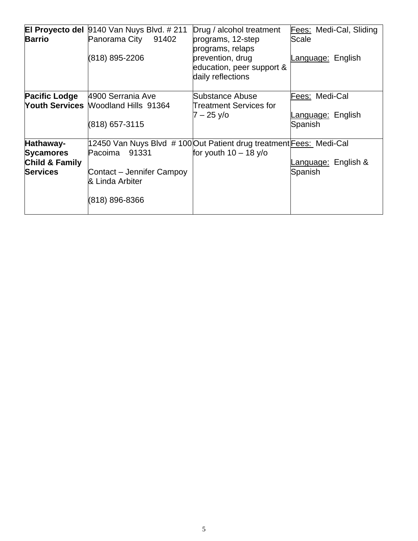| <b>Barrio</b>                                                      | <b>El Proyecto del 9140 Van Nuys Blvd. #211</b><br>Panorama City 91402<br>(818) 895-2206                                                                  | Drug / alcohol treatment<br>programs, 12-step<br>programs, relaps<br>prevention, drug<br>education, peer support &<br>daily reflections | Fees: Medi-Cal, Sliding<br>Scale<br>Language: English |
|--------------------------------------------------------------------|-----------------------------------------------------------------------------------------------------------------------------------------------------------|-----------------------------------------------------------------------------------------------------------------------------------------|-------------------------------------------------------|
|                                                                    | Pacific Lodge   4900 Serrania Ave<br>Youth Services Moodland Hills 91364<br>(818) 657-3115                                                                | Substance Abuse<br>Treatment Services for<br>7 – 25 y/o                                                                                 | Fees: Medi-Cal<br>Language: English<br>Spanish        |
| Hathaway-<br><b>Sycamores</b><br>Child & Family<br><b>Services</b> | 12450 Van Nuys Blvd # 100 Out Patient drug treatment Fees: Medi-Cal<br>91331<br>Pacoima<br>Contact – Jennifer Campoy<br>& Linda Arbiter<br>(818) 896-8366 | for youth $10 - 18$ y/o                                                                                                                 | anguage: English &<br>Spanish                         |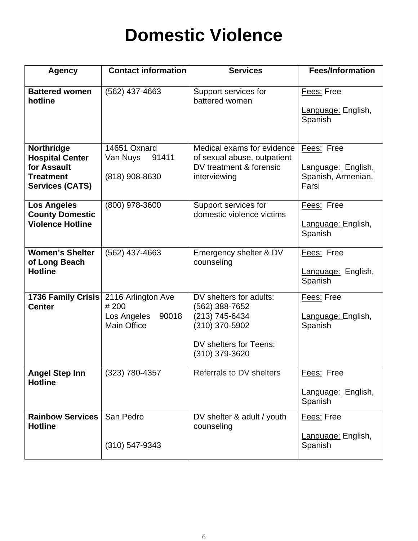### **Domestic Violence**

| <b>Agency</b>                                                                                     | <b>Contact information</b>                                               | <b>Services</b>                                                                                                           | <b>Fees/Information</b>                                         |
|---------------------------------------------------------------------------------------------------|--------------------------------------------------------------------------|---------------------------------------------------------------------------------------------------------------------------|-----------------------------------------------------------------|
| <b>Battered women</b><br>hotline                                                                  | (562) 437-4663                                                           | Support services for<br>battered women                                                                                    | Fees: Free<br>Language: English,<br>Spanish                     |
| Northridge<br><b>Hospital Center</b><br>for Assault<br><b>Treatment</b><br><b>Services (CATS)</b> | 14651 Oxnard<br>91411<br>Van Nuys<br>(818) 908-8630                      | Medical exams for evidence<br>of sexual abuse, outpatient<br>DV treatment & forensic<br>interviewing                      | Fees: Free<br>Language: English,<br>Spanish, Armenian,<br>Farsi |
| <b>Los Angeles</b><br><b>County Domestic</b><br><b>Violence Hotline</b>                           | (800) 978-3600                                                           | Support services for<br>domestic violence victims                                                                         | Fees: Free<br>Language: English,<br>Spanish                     |
| Women's Shelter<br>of Long Beach<br><b>Hotline</b>                                                | (562) 437-4663                                                           | Emergency shelter & DV<br>counseling                                                                                      | Fees: Free<br>Language: English,<br>Spanish                     |
| <b>1736 Family Crisis</b><br><b>Center</b>                                                        | 2116 Arlington Ave<br>#200<br>Los Angeles<br>90018<br><b>Main Office</b> | DV shelters for adults:<br>(562) 388-7652<br>(213) 745-6434<br>(310) 370-5902<br>DV shelters for Teens:<br>(310) 379-3620 | Fees: Free<br>Language: English,<br>Spanish                     |
| <b>Angel Step Inn</b><br><b>Hotline</b>                                                           | (323) 780-4357                                                           | Referrals to DV shelters                                                                                                  | Fees: Free<br>Language: English,<br>Spanish                     |
| <b>Rainbow Services</b><br><b>Hotline</b>                                                         | San Pedro<br>$(310) 547 - 9343$                                          | DV shelter & adult / youth<br>counseling                                                                                  | Fees: Free<br>Language: English,<br>Spanish                     |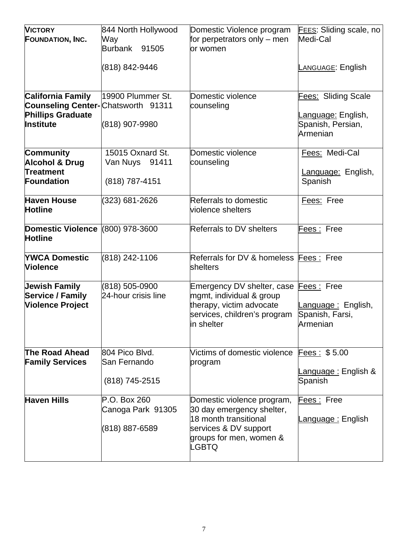| <b>VICTORY</b><br><b>FOUNDATION, INC.</b><br><b>California Family</b><br><b>Counseling Center-</b> Chatsworth 91311<br><b>Phillips Graduate</b><br><b>Institute</b> | 844 North Hollywood<br>Way<br>Burbank 91505<br>(818) 842-9446<br>19900 Plummer St.<br>(818) 907-9980 | Domestic Violence program<br>for perpetrators only $-$ men<br>lor women<br>Domestic violence<br>counseling                                    | <b>FEES:</b> Sliding scale, no<br>Medi-Cal<br><b>LANGUAGE: English</b><br><b>Fees: Sliding Scale</b><br>Language: English,<br>Spanish, Persian, |
|---------------------------------------------------------------------------------------------------------------------------------------------------------------------|------------------------------------------------------------------------------------------------------|-----------------------------------------------------------------------------------------------------------------------------------------------|-------------------------------------------------------------------------------------------------------------------------------------------------|
| <b>Community</b><br><b>Alcohol &amp; Drug</b><br>Treatment<br>Foundation                                                                                            | 15015 Oxnard St.<br>Van Nuys 91411<br>(818) 787-4151                                                 | Domestic violence<br>counseling                                                                                                               | Armenian<br>Fees: Medi-Cal<br>Language: English,<br>Spanish                                                                                     |
| <b>Haven House</b><br><b>Hotline</b><br>Domestic Violence (800) 978-3600                                                                                            | (323) 681-2626                                                                                       | Referrals to domestic<br>violence shelters<br><b>Referrals to DV shelters</b>                                                                 | Fees: Free<br>Fees: Free                                                                                                                        |
| <b>Hotline</b><br><b>YWCA Domestic</b><br><b>Violence</b>                                                                                                           | (818) 242-1106                                                                                       | Referrals for DV & homeless Fees: Free<br>shelters                                                                                            |                                                                                                                                                 |
| <b>Jewish Family</b><br><b>Service / Family</b><br><b>Violence Project</b>                                                                                          | (818) 505-0900<br>24-hour crisis line                                                                | Emergency DV shelter, case<br>mgmt, individual & group<br>therapy, victim advocate<br>services, children's program<br>in shelter              | Fees: Free<br>Language: English,<br>Spanish, Farsi,<br>Armenian                                                                                 |
| <b>The Road Ahead</b><br><b>Family Services</b>                                                                                                                     | 804 Pico Blvd.<br>San Fernando<br>(818) 745-2515                                                     | Victims of domestic violence Fees: \$5.00<br>program                                                                                          | <u> Language :</u> English &<br>Spanish                                                                                                         |
| <b>Haven Hills</b>                                                                                                                                                  | P.O. Box 260<br>Canoga Park 91305<br>(818) 887-6589                                                  | Domestic violence program,<br>30 day emergency shelter,<br>18 month transitional<br>services & DV support<br>groups for men, women &<br>LGBTQ | Fees: Free<br><u> Language :</u> English                                                                                                        |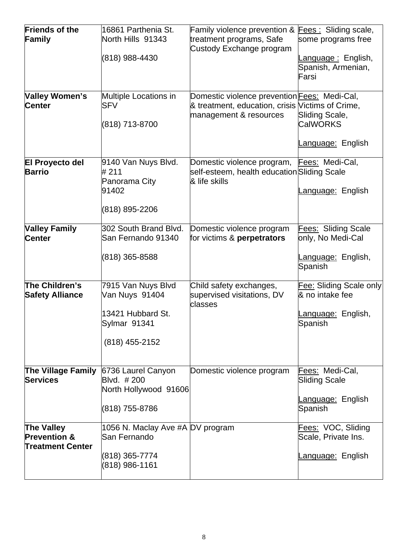| <b>Friends of the</b><br>Family                                         | 16861 Parthenia St.<br>North Hills 91343<br>(818) 988-4430                                  | Family violence prevention & Fees: Sliding scale,<br>treatment programs, Safe<br>Custody Exchange program                         | some programs free<br>Language: English,<br>Spanish, Armenian,<br>Farsi          |
|-------------------------------------------------------------------------|---------------------------------------------------------------------------------------------|-----------------------------------------------------------------------------------------------------------------------------------|----------------------------------------------------------------------------------|
| <b>Valley Women's</b><br><b>Center</b>                                  | Multiple Locations in<br><b>SFV</b><br>(818) 713-8700                                       | Domestic violence prevention <b>Fees:</b> Medi-Cal,<br>& treatment, education, crisis Victims of Crime,<br>management & resources | Sliding Scale,<br><b>CalWORKS</b><br><u>anguage:</u> English.                    |
| <b>El Proyecto del</b><br><b>Barrio</b>                                 | 9140 Van Nuys Blvd.<br>#211<br>Panorama City<br>91402<br>(818) 895-2206                     | Domestic violence program, Fees: Medi-Cal,<br>self-esteem, health education Sliding Scale<br>& life skills                        | Language: English                                                                |
| <b>Valley Family</b><br><b>Center</b>                                   | 302 South Brand Blvd.<br>San Fernando 91340<br>(818) 365-8588                               | Domestic violence program<br>for victims & perpetrators                                                                           | Fees: Sliding Scale<br>only, No Medi-Cal<br><u>Language:</u> English,<br>Spanish |
| The Children's<br><b>Safety Alliance</b>                                | 7915 Van Nuys Blvd<br>Van Nuys 91404<br>13421 Hubbard St.<br>Sylmar 91341<br>(818) 455-2152 | Child safety exchanges,<br>supervised visitations, DV<br>classes                                                                  | Fee: Sliding Scale only<br>& no intake fee<br>anguage: English,<br>Spanish       |
| The Village Family<br><b>Services</b>                                   | 6736 Laurel Canyon<br>Blvd. # 200<br>North Hollywood 91606<br>(818) 755-8786                | Domestic violence program                                                                                                         | Fees: Medi-Cal,<br><b>Sliding Scale</b><br>Language: English<br>Spanish          |
| <b>The Valley</b><br><b>Prevention &amp;</b><br><b>Treatment Center</b> | 1056 N. Maclay Ave #A DV program<br>lSan Fernando<br>(818) 365-7774<br>(818) 986-1161       |                                                                                                                                   | Fees: VOC, Sliding<br>Scale, Private Ins.<br><u>Language:</u> English            |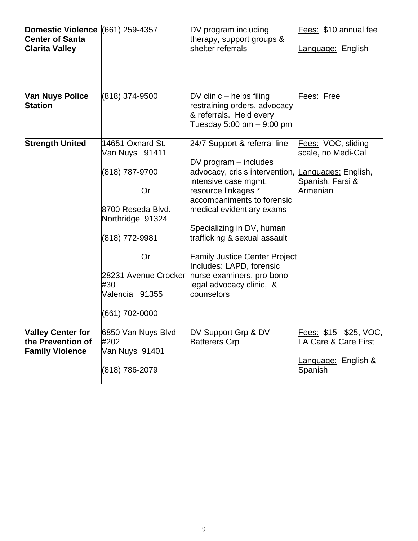| Domestic Violence (661) 259-4357<br><b>Center of Santa</b><br><b>Clarita Valley</b> |                                                                                                                                                                                                              | DV program including<br>therapy, support groups &<br>shelter referrals                                                                                                                                                                                                                                                                                                                                        | Fees: \$10 annual fee<br>Language: English                                                      |
|-------------------------------------------------------------------------------------|--------------------------------------------------------------------------------------------------------------------------------------------------------------------------------------------------------------|---------------------------------------------------------------------------------------------------------------------------------------------------------------------------------------------------------------------------------------------------------------------------------------------------------------------------------------------------------------------------------------------------------------|-------------------------------------------------------------------------------------------------|
| <b>Van Nuys Police</b><br><b>Station</b>                                            | (818) 374-9500                                                                                                                                                                                               | DV clinic - helps filing<br>restraining orders, advocacy<br>& referrals. Held every<br>Tuesday 5:00 pm - 9:00 pm                                                                                                                                                                                                                                                                                              | Fees: Free                                                                                      |
| <b>Strength United</b>                                                              | 14651 Oxnard St.<br>Van Nuys 91411<br>(818) 787-9700<br><b>Or</b><br>8700 Reseda Blvd.<br>Northridge 91324<br>(818) 772-9981<br><b>Or</b><br>28231 Avenue Crocker<br>#30<br>Valencia 91355<br>(661) 702-0000 | 24/7 Support & referral line<br>$DV$ program $-$ includes<br>advocacy, crisis intervention,<br>intensive case mgmt,<br>resource linkages *<br>accompaniments to forensic<br>medical evidentiary exams<br>Specializing in DV, human<br>trafficking & sexual assault<br><b>Family Justice Center Project</b><br>Includes: LAPD, forensic<br>nurse examiners, pro-bono<br>legal advocacy clinic, &<br>counselors | Fees: VOC, sliding<br>scale, no Medi-Cal<br>Languages: English,<br>Spanish, Farsi &<br>Armenian |
| <b>Valley Center for</b><br>the Prevention of<br><b>Family Violence</b>             | 6850 Van Nuys Blvd<br>#202<br>Van Nuys 91401<br>(818) 786-2079                                                                                                                                               | DV Support Grp & DV<br><b>Batterers Grp</b>                                                                                                                                                                                                                                                                                                                                                                   | Fees: \$15 - \$25, VOC,<br>LA Care & Care First<br>Language: English &<br>Spanish               |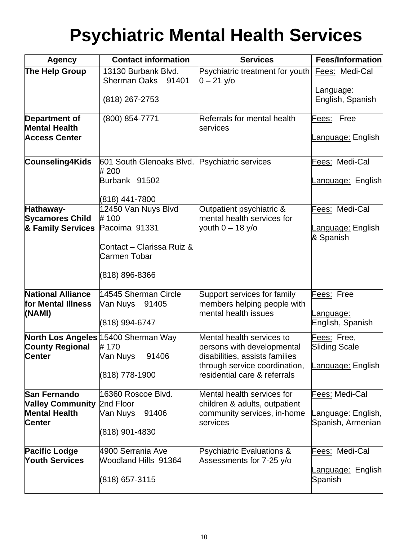## **Psychiatric Mental Health Services**

| <b>Agency</b>                                  | <b>Contact information</b>                             | <b>Services</b>                                                  | Fees/Information                              |
|------------------------------------------------|--------------------------------------------------------|------------------------------------------------------------------|-----------------------------------------------|
| The Help Group                                 | 13130 Burbank Blvd.<br><b>Sherman Oaks</b><br>91401    | Psychiatric treatment for youth Eees: Medi-Cal<br>$0 - 21$ y/o   |                                               |
|                                                | (818) 267-2753                                         |                                                                  | Language:<br>English, Spanish                 |
| <b>Department of</b><br><b>Mental Health</b>   | (800) 854-7771                                         | Referrals for mental health<br><b>services</b>                   | Fees: Free                                    |
| <b>Access Center</b>                           |                                                        |                                                                  | anguage: English.                             |
| Counseling4Kids                                | 601 South Glenoaks Blvd. Psychiatric services<br># 200 |                                                                  | Fees: Medi-Cal                                |
|                                                | Burbank 91502                                          |                                                                  | <u>anguage:</u> English                       |
|                                                | (818) 441-7800                                         |                                                                  | Fees: Medi-Cal                                |
| Hathaway-<br><b>Sycamores Child</b>            | 12450 Van Nuys Blvd<br>#100                            | Outpatient psychiatric &<br>mental health services for           |                                               |
| & Family Services                              | Pacoima 91331                                          | youth $0 - 18$ y/o                                               | <u>.anguage:</u> English<br>& Spanish         |
|                                                | Contact – Clarissa Ruiz &<br>Carmen Tobar              |                                                                  |                                               |
|                                                | (818) 896-8366                                         |                                                                  |                                               |
| <b>National Alliance</b><br>for Mental Illness | 14545 Sherman Circle<br>Van Nuys 91405                 | Support services for family<br>members helping people with       | Fees: Free                                    |
| (NAMI)                                         | (818) 994-6747                                         | mental health issues                                             | anguage:<br>English, Spanish                  |
| <b>County Regional</b>                         | <b>North Los Angeles 15400 Sherman Way</b><br># 170    | Mental health services to<br>persons with developmental          | Fees: Free,<br><b>Sliding Scale</b>           |
| <b>Center</b>                                  | 91406<br>Van Nuys                                      | disabilities, assists families<br>through service coordination,  | anguage: English                              |
|                                                | (818) 778-1900                                         | residential care & referrals                                     |                                               |
| <b>San Fernando</b><br><b>Valley Community</b> | 16360 Roscoe Blvd.<br>2nd Floor                        | Mental health services for<br>children & adults, outpatient      | Fees: Medi-Cal                                |
| <b>Mental Health</b><br><b>Center</b>          | 91406<br>Van Nuys                                      | community services, in-home<br>services                          | <u>anguage:</u> English,<br>Spanish, Armenian |
|                                                | (818) 901-4830                                         |                                                                  |                                               |
| <b>Pacific Lodge</b><br><b>Youth Services</b>  | 4900 Serrania Ave<br>Woodland Hills 91364              | <b>Psychiatric Evaluations &amp;</b><br>Assessments for 7-25 y/o | Fees: Medi-Cal                                |
|                                                | (818) 657-3115                                         |                                                                  | <u>anguage:</u> English<br>Spanish            |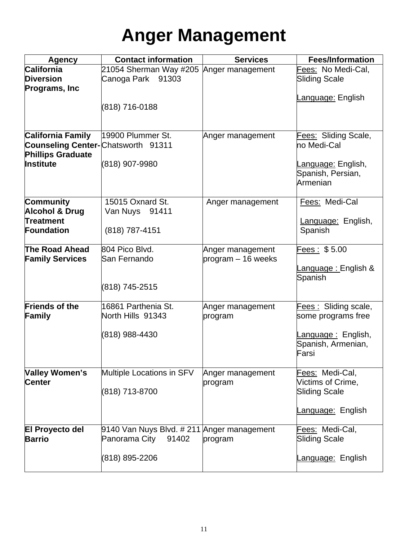# **Anger Management**

| <b>Agency</b>                              | <b>Contact information</b>                 | <b>Services</b>    | <b>Fees/Information</b>     |
|--------------------------------------------|--------------------------------------------|--------------------|-----------------------------|
| <b>California</b>                          | 21054 Sherman Way #205   Anger management  |                    | Fees: No Medi-Cal,          |
| <b>Diversion</b>                           | Canoga Park 91303                          |                    | Sliding Scale               |
| <b>Programs, Inc</b>                       |                                            |                    |                             |
|                                            |                                            |                    | <u>anguage:</u> English     |
|                                            | (818) 716-0188                             |                    |                             |
|                                            |                                            |                    |                             |
| <b>California Family</b>                   | 19900 Plummer St.                          | Anger management   | Fees: Sliding Scale,        |
| <b>Counseling Center-</b> Chatsworth 91311 |                                            |                    | no Medi-Cal                 |
| <b>Phillips Graduate</b>                   |                                            |                    |                             |
| <b>Institute</b>                           | (818) 907-9980                             |                    | <u>Language:</u> English,   |
|                                            |                                            |                    | Spanish, Persian,           |
|                                            |                                            |                    | Armenian                    |
| <b>Community</b>                           | 15015 Oxnard St.                           | Anger management   | Fees: Medi-Cal              |
| <b>Alcohol &amp; Drug</b>                  | Van Nuys 91411                             |                    |                             |
| Treatment                                  |                                            |                    | Language: English,          |
| Foundation                                 | (818) 787-4151                             |                    | Spanish                     |
|                                            |                                            |                    |                             |
| The Road Ahead                             | 804 Pico Blvd.                             | Anger management   | Fees: \$5.00                |
| <b>Family Services</b>                     | San Fernando                               | program – 16 weeks |                             |
|                                            |                                            |                    | <u>anguage : </u> English & |
|                                            |                                            |                    | Spanish                     |
|                                            | (818) 745-2515                             |                    |                             |
| <b>Friends of the</b>                      | 16861 Parthenia St.                        |                    |                             |
|                                            | North Hills 91343                          | Anger management   | <b>Fees: Sliding scale,</b> |
| Family                                     |                                            | program            | some programs free          |
|                                            | (818) 988-4430                             |                    | anguage: English,           |
|                                            |                                            |                    | Spanish, Armenian,          |
|                                            |                                            |                    | Farsi                       |
|                                            |                                            |                    |                             |
| Valley Women's                             | Multiple Locations in SFV                  | Anger management   | Fees: Medi-Cal,             |
| Center                                     |                                            | program            | Victims of Crime,           |
|                                            | (818) 713-8700                             |                    | <b>Sliding Scale</b>        |
|                                            |                                            |                    |                             |
|                                            |                                            |                    | Language: English           |
| <b>El Proyecto del</b>                     | 9140 Van Nuys Blvd. # 211 Anger management |                    | Fees: Medi-Cal,             |
| <b>Barrio</b>                              | Panorama City<br>91402                     | program            | <b>Sliding Scale</b>        |
|                                            |                                            |                    |                             |
|                                            | (818) 895-2206                             |                    | <u>anguage:</u> English     |
|                                            |                                            |                    |                             |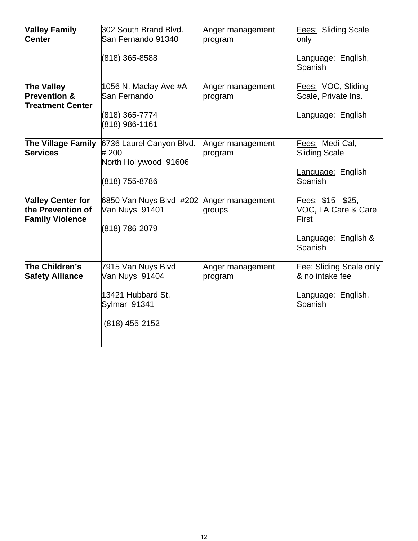| <b>Valley Family</b><br><b>Center</b>                                   | 302 South Brand Blvd.<br>San Fernando 91340<br>(818) 365-8588                               | Anger management<br>program | Fees: Sliding Scale<br>only<br>Language: English,<br>Spanish                         |
|-------------------------------------------------------------------------|---------------------------------------------------------------------------------------------|-----------------------------|--------------------------------------------------------------------------------------|
| The Valley<br><b>Prevention &amp;</b><br><b>Treatment Center</b>        | 1056 N. Maclay Ave #A<br>San Fernando<br>(818) 365-7774<br>(818) 986-1161                   | Anger management<br>program | Fees: VOC, Sliding<br>Scale, Private Ins.<br>Language: English                       |
| The Village Family<br><b>Services</b>                                   | 6736 Laurel Canyon Blvd.<br># 200<br>North Hollywood 91606<br>(818) 755-8786                | Anger management<br>program | Fees: Medi-Cal,<br><b>Sliding Scale</b><br>Language: English<br>Spanish              |
| <b>Valley Center for</b><br>the Prevention of<br><b>Family Violence</b> | 6850 Van Nuys Blvd #202<br>Van Nuys 91401<br>(818) 786-2079                                 | Anger management<br>groups  | Fees: \$15 - \$25,<br>VOC, LA Care & Care<br>First<br>Language: English &<br>Spanish |
| The Children's<br><b>Safety Alliance</b>                                | 7915 Van Nuys Blvd<br>Van Nuys 91404<br>13421 Hubbard St.<br>Sylmar 91341<br>(818) 455-2152 | Anger management<br>program | Fee: Sliding Scale only<br>& no intake fee<br>Language: English,<br>Spanish          |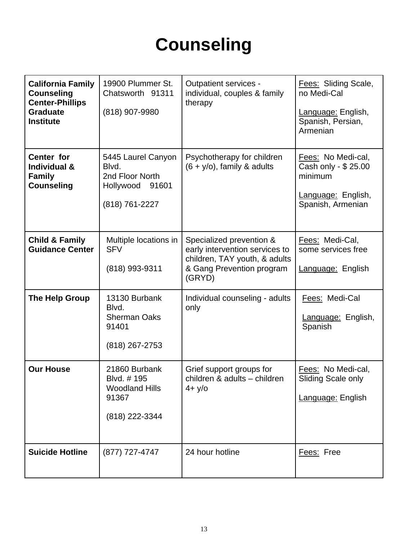# **Counseling**

| <b>California Family</b><br><b>Counseling</b><br><b>Center-Phillips</b><br><b>Graduate</b><br><b>Institute</b> | 19900 Plummer St.<br>Chatsworth 91311<br>(818) 907-9980                             | Outpatient services -<br>individual, couples & family<br>therapy                                                                   | <b>Fees: Sliding Scale,</b><br>no Medi-Cal<br>Language: English,<br>Spanish, Persian,<br>Armenian |
|----------------------------------------------------------------------------------------------------------------|-------------------------------------------------------------------------------------|------------------------------------------------------------------------------------------------------------------------------------|---------------------------------------------------------------------------------------------------|
| Center for<br><b>Individual &amp;</b><br><b>Family</b><br><b>Counseling</b>                                    | 5445 Laurel Canyon<br>Blvd.<br>2nd Floor North<br>Hollywood 91601<br>(818) 761-2227 | Psychotherapy for children<br>$(6 + y/o)$ , family & adults                                                                        | Fees: No Medi-cal,<br>Cash only - \$ 25.00<br>minimum<br>Language: English,<br>Spanish, Armenian  |
| <b>Child &amp; Family</b><br><b>Guidance Center</b>                                                            | Multiple locations in<br><b>SFV</b><br>(818) 993-9311                               | Specialized prevention &<br>early intervention services to<br>children, TAY youth, & adults<br>& Gang Prevention program<br>(GRYD) | Fees: Medi-Cal,<br>some services free<br>Language: English                                        |
| <b>The Help Group</b>                                                                                          | 13130 Burbank<br>Blvd.<br><b>Sherman Oaks</b><br>91401<br>(818) 267-2753            | Individual counseling - adults<br>only                                                                                             | Fees: Medi-Cal<br>Language: English,<br>Spanish                                                   |
| <b>Our House</b>                                                                                               | 21860 Burbank<br>Blvd. #195<br><b>Woodland Hills</b><br>91367<br>(818) 222-3344     | Grief support groups for<br>children & adults - children<br>$4 + y$ /0                                                             | Fees: No Medi-cal,<br>Sliding Scale only<br>Language: English                                     |
| <b>Suicide Hotline</b>                                                                                         | (877) 727-4747                                                                      | 24 hour hotline                                                                                                                    | Fees: Free                                                                                        |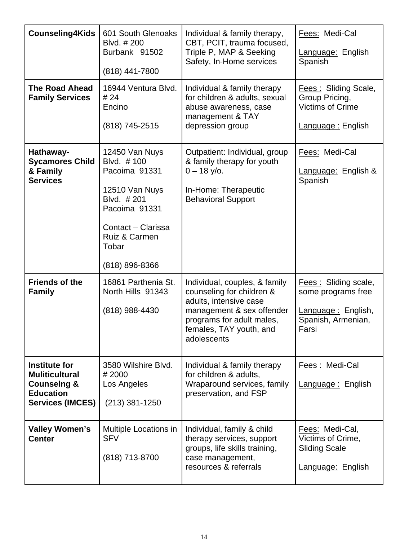| <b>Counseling4Kids</b>                                                                                                 | 601 South Glenoaks<br>Blvd. # 200<br>Burbank 91502<br>(818) 441-7800                                                                                             | Individual & family therapy,<br>CBT, PCIT, trauma focused,<br>Triple P, MAP & Seeking<br>Safety, In-Home services                                                                        | Fees: Medi-Cal<br>Language: English<br>Spanish                                                  |
|------------------------------------------------------------------------------------------------------------------------|------------------------------------------------------------------------------------------------------------------------------------------------------------------|------------------------------------------------------------------------------------------------------------------------------------------------------------------------------------------|-------------------------------------------------------------------------------------------------|
| <b>The Road Ahead</b><br><b>Family Services</b>                                                                        | 16944 Ventura Blvd.<br># 24<br>Encino<br>(818) 745-2515                                                                                                          | Individual & family therapy<br>for children & adults, sexual<br>abuse awareness, case<br>management & TAY<br>depression group                                                            | <b>Fees: Sliding Scale,</b><br>Group Pricing,<br>Victims of Crime<br>Language: English          |
| Hathaway-<br><b>Sycamores Child</b><br>& Family<br><b>Services</b>                                                     | 12450 Van Nuys<br>Blvd. #100<br>Pacoima 91331<br>12510 Van Nuys<br>Blvd. #201<br>Pacoima 91331<br>Contact - Clarissa<br>Ruiz & Carmen<br>Tobar<br>(818) 896-8366 | Outpatient: Individual, group<br>& family therapy for youth<br>$0 - 18$ y/o.<br>In-Home: Therapeutic<br><b>Behavioral Support</b>                                                        | Fees: Medi-Cal<br>Language: English &<br>Spanish                                                |
| <b>Friends of the</b><br><b>Family</b>                                                                                 | 16861 Parthenia St.<br>North Hills 91343<br>(818) 988-4430                                                                                                       | Individual, couples, & family<br>counseling for children &<br>adults, intensive case<br>management & sex offender<br>programs for adult males,<br>females, TAY youth, and<br>adolescents | Fees: Sliding scale,<br>some programs free<br>Language: English,<br>Spanish, Armenian,<br>Farsi |
| <b>Institute for</b><br><b>Muliticultural</b><br><b>Counselng &amp;</b><br><b>Education</b><br><b>Services (IMCES)</b> | 3580 Wilshire Blvd.<br>#2000<br>Los Angeles<br>(213) 381-1250                                                                                                    | Individual & family therapy<br>for children & adults,<br>Wraparound services, family<br>preservation, and FSP                                                                            | Fees: Medi-Cal<br>Language: English                                                             |
| <b>Valley Women's</b><br><b>Center</b>                                                                                 | Multiple Locations in<br><b>SFV</b><br>(818) 713-8700                                                                                                            | Individual, family & child<br>therapy services, support<br>groups, life skills training,<br>case management,<br>resources & referrals                                                    | Fees: Medi-Cal,<br>Victims of Crime,<br><b>Sliding Scale</b><br>Language: English               |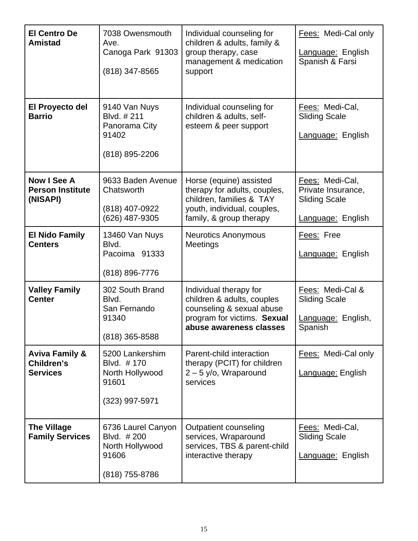| <b>El Centro De</b><br><b>Amistad</b>                      | 7038 Owensmouth<br>Ave.<br>Canoga Park 91303<br>(818) 347-8565                 | Individual counseling for<br>children & adults, family &<br>group therapy, case<br>management & medication<br>support                         | Fees: Medi-Cal only<br>Language: English<br>Spanish & Farsi                        |
|------------------------------------------------------------|--------------------------------------------------------------------------------|-----------------------------------------------------------------------------------------------------------------------------------------------|------------------------------------------------------------------------------------|
| El Proyecto del<br><b>Barrio</b>                           | 9140 Van Nuys<br>Blvd. #211<br>Panorama City<br>91402<br>(818) 895-2206        | Individual counseling for<br>children & adults, self-<br>esteem & peer support                                                                | Fees: Medi-Cal,<br><b>Sliding Scale</b><br>Language: English                       |
| <b>Now I See A</b><br><b>Person Institute</b><br>(NISAPI)  | 9633 Baden Avenue<br>Chatsworth<br>(818) 407-0922<br>(626) 487-9305            | Horse (equine) assisted<br>therapy for adults, couples,<br>children, families & TAY<br>youth, individual, couples,<br>family, & group therapy | Fees: Medi-Cal,<br>Private Insurance,<br><b>Sliding Scale</b><br>Language: English |
| <b>El Nido Family</b><br><b>Centers</b>                    | 13460 Van Nuys<br>Blvd.<br>Pacoima 91333<br>(818) 896-7776                     | <b>Neurotics Anonymous</b><br>Meetings                                                                                                        | Fees: Free<br>Language: English                                                    |
| <b>Valley Family</b><br><b>Center</b>                      | 302 South Brand<br>Blvd.<br>San Fernando<br>91340<br>$(818)$ 365-8588          | Individual therapy for<br>children & adults, couples<br>counseling & sexual abuse<br>program for victims. Sexual<br>abuse awareness classes   | Fees: Medi-Cal &<br><b>Sliding Scale</b><br>Language: English,<br>Spanish          |
| <b>Aviva Family &amp;</b><br>Children's<br><b>Services</b> | 5200 Lankershim<br>Blvd. #170<br>North Hollywood<br>91601<br>(323) 997-5971    | Parent-child interaction<br>therapy (PCIT) for children<br>$2 - 5$ y/o, Wraparound<br>services                                                | Fees: Medi-Cal only<br>Language: English                                           |
| <b>The Village</b><br><b>Family Services</b>               | 6736 Laurel Canyon<br>Blvd. #200<br>North Hollywood<br>91606<br>(818) 755-8786 | Outpatient counseling<br>services, Wraparound<br>services, TBS & parent-child<br>interactive therapy                                          | Fees: Medi-Cal,<br><b>Sliding Scale</b><br>Language: English                       |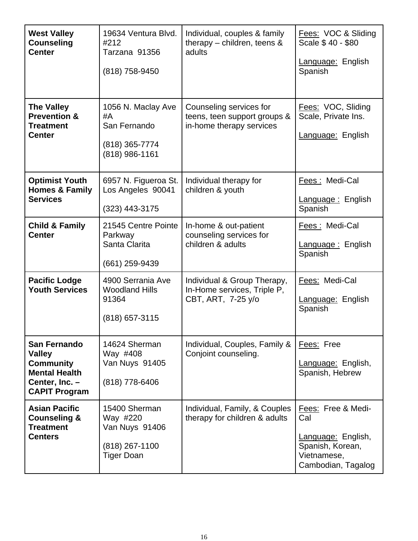| <b>West Valley</b><br><b>Counseling</b><br><b>Center</b>                                                                   | 19634 Ventura Blvd.<br>#212<br>Tarzana 91356<br>(818) 758-9450                     | Individual, couples & family<br>therapy $-$ children, teens $\&$<br>adults          | Fees: VOC & Sliding<br>Scale \$40 - \$80<br>Language: English<br>Spanish                                 |
|----------------------------------------------------------------------------------------------------------------------------|------------------------------------------------------------------------------------|-------------------------------------------------------------------------------------|----------------------------------------------------------------------------------------------------------|
| <b>The Valley</b><br><b>Prevention &amp;</b><br><b>Treatment</b><br><b>Center</b>                                          | 1056 N. Maclay Ave<br>#A<br>San Fernando<br>(818) 365-7774<br>(818) 986-1161       | Counseling services for<br>teens, teen support groups &<br>in-home therapy services | Fees: VOC, Sliding<br>Scale, Private Ins.<br>Language: English                                           |
| <b>Optimist Youth</b><br><b>Homes &amp; Family</b><br><b>Services</b>                                                      | 6957 N. Figueroa St.<br>Los Angeles 90041<br>$(323)$ 443-3175                      | Individual therapy for<br>children & youth                                          | Fees: Medi-Cal<br>Language: English<br>Spanish                                                           |
| <b>Child &amp; Family</b><br><b>Center</b>                                                                                 | 21545 Centre Pointe<br>Parkway<br>Santa Clarita<br>(661) 259-9439                  | In-home & out-patient<br>counseling services for<br>children & adults               | Fees: Medi-Cal<br>Language: English<br>Spanish                                                           |
| <b>Pacific Lodge</b><br><b>Youth Services</b>                                                                              | 4900 Serrania Ave<br><b>Woodland Hills</b><br>91364<br>$(818)$ 657-3115            | Individual & Group Therapy,<br>In-Home services, Triple P,<br>CBT, ART, 7-25 y/o    | Fees: Medi-Cal<br>Language: English<br>Spanish                                                           |
| <b>San Fernando</b><br><b>Valley</b><br><b>Community</b><br><b>Mental Health</b><br>Center, Inc. -<br><b>CAPIT Program</b> | 14624 Sherman<br>Way #408<br>Van Nuys 91405<br>(818) 778-6406                      | Individual, Couples, Family &<br>Conjoint counseling.                               | Fees: Free<br>Language: English,<br>Spanish, Hebrew                                                      |
| <b>Asian Pacific</b><br><b>Counseling &amp;</b><br><b>Treatment</b><br><b>Centers</b>                                      | 15400 Sherman<br>Way #220<br>Van Nuys 91406<br>(818) 267-1100<br><b>Tiger Doan</b> | Individual, Family, & Couples<br>therapy for children & adults                      | Fees: Free & Medi-<br>Cal<br>Language: English,<br>Spanish, Korean,<br>Vietnamese,<br>Cambodian, Tagalog |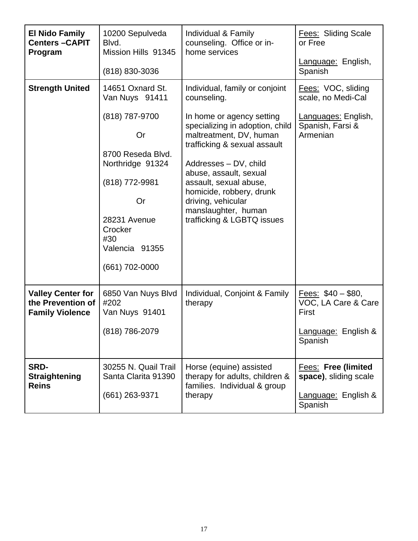| <b>El Nido Family</b><br><b>Centers-CAPIT</b><br>Program                | 10200 Sepulveda<br>Blvd.<br>Mission Hills 91345<br>(818) 830-3036                                                                                                                                 | Individual & Family<br>counseling. Office or in-<br>home services                                                                                                                                                                                                                                                                                            | <b>Fees: Sliding Scale</b><br>or Free<br>Language: English,<br>Spanish                          |
|-------------------------------------------------------------------------|---------------------------------------------------------------------------------------------------------------------------------------------------------------------------------------------------|--------------------------------------------------------------------------------------------------------------------------------------------------------------------------------------------------------------------------------------------------------------------------------------------------------------------------------------------------------------|-------------------------------------------------------------------------------------------------|
| <b>Strength United</b>                                                  | 14651 Oxnard St.<br>Van Nuys 91411<br>(818) 787-9700<br>Or<br>8700 Reseda Blvd.<br>Northridge 91324<br>(818) 772-9981<br>Or<br>28231 Avenue<br>Crocker<br>#30<br>Valencia 91355<br>(661) 702-0000 | Individual, family or conjoint<br>counseling.<br>In home or agency setting<br>specializing in adoption, child<br>maltreatment, DV, human<br>trafficking & sexual assault<br>Addresses - DV, child<br>abuse, assault, sexual<br>assault, sexual abuse,<br>homicide, robbery, drunk<br>driving, vehicular<br>manslaughter, human<br>trafficking & LGBTQ issues | Fees: VOC, sliding<br>scale, no Medi-Cal<br>Languages: English,<br>Spanish, Farsi &<br>Armenian |
| <b>Valley Center for</b><br>the Prevention of<br><b>Family Violence</b> | 6850 Van Nuys Blvd<br>#202<br>Van Nuys 91401<br>(818) 786-2079                                                                                                                                    | Individual, Conjoint & Family<br>therapy                                                                                                                                                                                                                                                                                                                     | Fees: $$40 - $80$ ,<br>VOC, LA Care & Care<br>First<br>Language: English &<br>Spanish           |
| <b>SRD-</b><br><b>Straightening</b><br><b>Reins</b>                     | 30255 N. Quail Trail<br>Santa Clarita 91390<br>(661) 263-9371                                                                                                                                     | Horse (equine) assisted<br>therapy for adults, children &<br>families. Individual & group<br>therapy                                                                                                                                                                                                                                                         | <b>Fees: Free (limited)</b><br>space), sliding scale<br>Language: English &<br>Spanish          |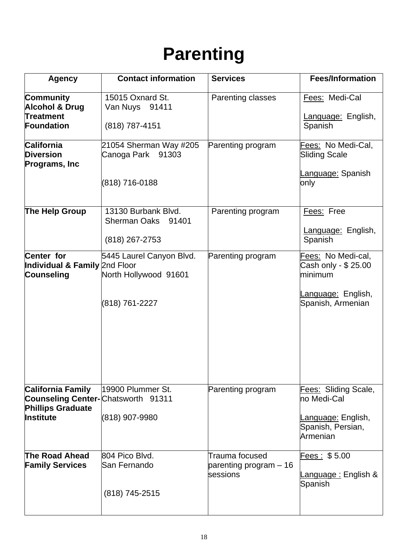### **Parenting**

| <b>Agency</b>                                                                                                   | <b>Contact information</b>                                            | <b>Services</b>                                      | <b>Fees/Information</b>                                                                                |  |
|-----------------------------------------------------------------------------------------------------------------|-----------------------------------------------------------------------|------------------------------------------------------|--------------------------------------------------------------------------------------------------------|--|
| <b>Community</b><br><b>Alcohol &amp; Drug</b><br>Treatment<br>Foundation                                        | 15015 Oxnard St.<br>Van Nuys<br>91411<br>(818) 787-4151               | Parenting classes                                    | Fees: Medi-Cal<br>Language: English,<br>Spanish                                                        |  |
| <b>California</b><br><b>Diversion</b><br>Programs, Inc.                                                         | 21054 Sherman Way #205<br>Canoga Park<br>91303<br>(818) 716-0188      | Parenting program                                    | <u>Fees:</u> No Medi-Cal,<br><b>Sliding Scale</b><br><u>Language:</u> Spanish<br>only                  |  |
| The Help Group                                                                                                  | 13130 Burbank Blvd.<br><b>Sherman Oaks</b><br>91401<br>(818) 267-2753 | Parenting program                                    | Fees: Free<br>Language: English,<br>Spanish                                                            |  |
| Center for<br>Individual & Family 2nd Floor<br>Counseling                                                       | 5445 Laurel Canyon Blvd.<br>North Hollywood 91601<br>(818) 761-2227   | Parenting program                                    | Fees: No Medi-cal,<br>Cash only - \$ 25.00<br>minimum<br><u>anguage:</u> English,<br>Spanish, Armenian |  |
| <b>California Family</b><br><b>Counseling Center-</b> Chatsworth 91311<br><b>Phillips Graduate</b><br>Institute | 19900 Plummer St.<br>(818) 907-9980                                   | Parenting program                                    | Fees: Sliding Scale,<br>no Medi-Cal<br><u>.anguage:</u> English,<br>Spanish, Persian,<br>Armenian      |  |
| The Road Ahead<br><b>Family Services</b>                                                                        | 804 Pico Blvd.<br>San Fernando<br>(818) 745-2515                      | Trauma focused<br>parenting program - 16<br>sessions | Fees : \$5.00<br><u>.anguage :</u> English &<br>Spanish                                                |  |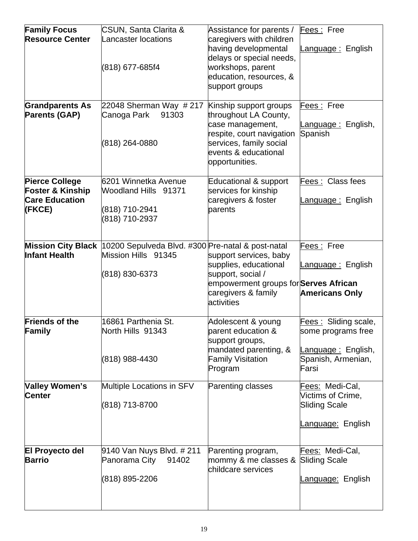| <b>Family Focus</b><br><b>Resource Center</b>                                           | CSUN, Santa Clarita &<br>Lancaster locations<br>(818) 677-685f4                            | Assistance for parents /<br>caregivers with children<br>having developmental<br>delays or special needs,<br>workshops, parent<br>education, resources, &<br>support groups | Fees: Free<br>Language: English                                                                 |
|-----------------------------------------------------------------------------------------|--------------------------------------------------------------------------------------------|----------------------------------------------------------------------------------------------------------------------------------------------------------------------------|-------------------------------------------------------------------------------------------------|
| <b>Grandparents As</b><br>Parents (GAP)                                                 | 22048 Sherman Way # 217<br>Canoga Park<br>91303<br>(818) 264-0880                          | Kinship support groups<br>throughout LA County,<br>case management,<br>respite, court navigation<br>services, family social<br>events & educational<br>opportunities.      | Fees: Free<br>Language: English,<br>Spanish                                                     |
| <b>Pierce College</b><br><b>Foster &amp; Kinship</b><br><b>Care Education</b><br>(FKCE) | 6201 Winnetka Avenue<br>Woodland Hills 91371<br>(818) 710-2941<br>(818) 710-2937           | Educational & support<br>services for kinship<br>caregivers & foster<br>parents                                                                                            | Fees: Class fees<br>Language: English                                                           |
| <b>Mission City Black</b><br><b>Infant Health</b>                                       | 10200 Sepulveda Blvd. #300 Pre-natal & post-natal<br>Mission Hills 91345<br>(818) 830-6373 | support services, baby<br>supplies, educational<br>support, social /<br>empowerment groups for Serves African<br>caregivers & family<br>activities                         | Fees: Free<br><u> Language :</u> English<br><b>Americans Only</b>                               |
| <b>Friends of the</b><br>Family                                                         | 16861 Parthenia St.<br>North Hills 91343<br>(818) 988-4430                                 | Adolescent & young<br>parent education &<br>support groups,<br>mandated parenting, &<br><b>Family Visitation</b><br>Program                                                | Fees: Sliding scale,<br>some programs free<br>Language: English,<br>Spanish, Armenian,<br>Farsi |
| Valley Women's<br><b>Center</b>                                                         | Multiple Locations in SFV<br>(818) 713-8700                                                | Parenting classes                                                                                                                                                          | Fees: Medi-Cal,<br>Victims of Crime,<br><b>Sliding Scale</b><br>Language: English               |
| <b>El Proyecto del</b><br><b>Barrio</b>                                                 | 9140 Van Nuys Blvd. # 211<br>Panorama City<br>91402<br>(818) 895-2206                      | Parenting program,<br>mommy & me classes &<br>childcare services                                                                                                           | Fees: Medi-Cal,<br><b>Sliding Scale</b><br>Language: English                                    |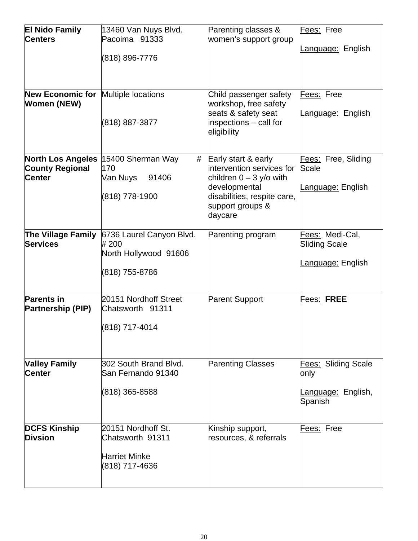| <b>El Nido Family</b><br><b>Centers</b>                             | 13460 Van Nuys Blvd.<br>Pacoima 91333<br>(818) 896-7776                          | Parenting classes &<br>women's support group                                                                                                                 | Fees: Free<br>Language: English                              |
|---------------------------------------------------------------------|----------------------------------------------------------------------------------|--------------------------------------------------------------------------------------------------------------------------------------------------------------|--------------------------------------------------------------|
| <b>New Economic for</b><br><b>Women (NEW)</b>                       | Multiple locations<br>(818) 887-3877                                             | Child passenger safety<br>workshop, free safety<br>seats & safety seat<br>inspections - call for<br>eligibility                                              | Fees: Free<br>Language: English                              |
| <b>North Los Angeles</b><br><b>County Regional</b><br><b>Center</b> | 15400 Sherman Way<br>#<br>170<br>Van Nuys<br>91406<br>(818) 778-1900             | Early start & early<br>intervention services for<br>children $0 - 3$ y/o with<br>developmental<br>disabilities, respite care,<br>support groups &<br>daycare | Fees: Free, Sliding<br>Scale<br>Language: English            |
| The Village Family<br><b>Services</b>                               | 6736 Laurel Canyon Blvd.<br>#200<br>North Hollywood 91606<br>(818) 755-8786      | Parenting program                                                                                                                                            | Fees: Medi-Cal,<br><b>Sliding Scale</b><br>Language: English |
| <b>Parents in</b><br><b>Partnership (PIP)</b>                       | 20151 Nordhoff Street<br>Chatsworth 91311<br>(818) 717-4014                      | <b>Parent Support</b>                                                                                                                                        | Fees: FREE                                                   |
| <b>Valley Family</b><br><b>Center</b>                               | 302 South Brand Blvd.<br>San Fernando 91340<br>(818) 365-8588                    | Parenting Classes                                                                                                                                            | Fees: Sliding Scale<br>only<br>Language: English,<br>Spanish |
| <b>DCFS Kinship</b><br><b>Divsion</b>                               | 20151 Nordhoff St.<br>Chatsworth 91311<br><b>Harriet Minke</b><br>(818) 717-4636 | Kinship support,<br>resources, & referrals                                                                                                                   | Fees: Free                                                   |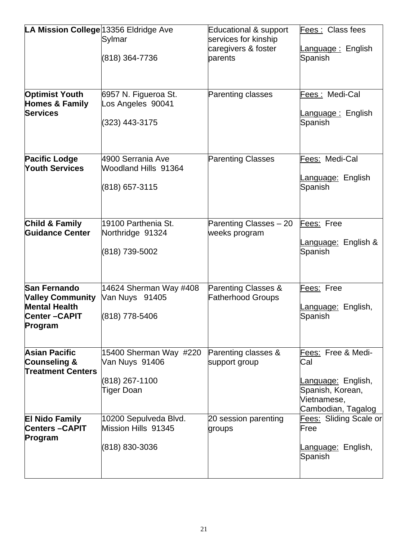| LA Mission College 13356 Eldridge Ave         |                                              | Educational & support          | Fees: Class fees          |
|-----------------------------------------------|----------------------------------------------|--------------------------------|---------------------------|
|                                               | Sylmar                                       | services for kinship           |                           |
|                                               |                                              | caregivers & foster            | anguage : English         |
|                                               | (818) 364-7736                               | parents                        | Spanish                   |
|                                               |                                              |                                |                           |
|                                               |                                              |                                |                           |
|                                               |                                              |                                |                           |
| <b>Optimist Youth</b>                         |                                              | Parenting classes              | Fees: Medi-Cal            |
|                                               | 6957 N. Figueroa St.                         |                                |                           |
| Homes & Family                                | Los Angeles 90041                            |                                |                           |
| <b>Services</b>                               |                                              |                                | Language: English         |
|                                               | (323) 443-3175                               |                                | Spanish                   |
|                                               |                                              |                                |                           |
|                                               |                                              |                                |                           |
|                                               | 4900 Serrania Ave                            |                                |                           |
| <b>Pacific Lodge</b>                          |                                              | <b>Parenting Classes</b>       | Fees: Medi-Cal            |
| <b>Youth Services</b>                         | Woodland Hills 91364                         |                                |                           |
|                                               |                                              |                                | <u>Language:</u> English  |
|                                               | (818) 657-3115                               |                                | Spanish                   |
|                                               |                                              |                                |                           |
|                                               |                                              |                                |                           |
|                                               | 19100 Parthenia St.                          |                                |                           |
| Child & Family                                |                                              | Parenting Classes - 20         | Fees: Free                |
| Guidance Center                               | Northridge 91324                             | weeks program                  |                           |
|                                               |                                              |                                | anguage: English &        |
|                                               | (818) 739-5002                               |                                | Spanish                   |
|                                               |                                              |                                |                           |
|                                               |                                              |                                |                           |
| <b>San Fernando</b>                           | 14624 Sherman Way #408                       | <b>Parenting Classes &amp;</b> | Fees: Free                |
| <b>Valley Community</b>                       | Van Nuys 91405                               | <b>Fatherhood Groups</b>       |                           |
| <b>Mental Health</b>                          |                                              |                                |                           |
|                                               |                                              |                                | anguage: English,         |
| <b>Center-CAPIT</b>                           | (818) 778-5406                               |                                | Spanish                   |
| Program                                       |                                              |                                |                           |
|                                               |                                              |                                |                           |
| <b>Asian Pacific</b>                          | 15400 Sherman Way #220                       | Parenting classes &            | Fees: Free & Medi-        |
| <b>Counseling &amp;</b>                       | Van Nuys 91406                               | support group                  | Cal                       |
| <b>Treatment Centers</b>                      |                                              |                                |                           |
|                                               | (818) 267-1100                               |                                | Language: English,        |
|                                               | Tiger Doan                                   |                                | Spanish, Korean,          |
|                                               |                                              |                                | Vietnamese,               |
|                                               |                                              |                                |                           |
|                                               |                                              |                                | Cambodian, Tagalog        |
| <b>El Nido Family</b><br><b>Centers-CAPIT</b> | 10200 Sepulveda Blvd.<br>Mission Hills 91345 | 20 session parenting           | Fees: Sliding Scale or    |
|                                               |                                              | groups                         | Free                      |
| Program                                       |                                              |                                |                           |
|                                               | (818) 830-3036                               |                                | <u>Language:</u> English, |
|                                               |                                              |                                | Spanish                   |
|                                               |                                              |                                |                           |
|                                               |                                              |                                |                           |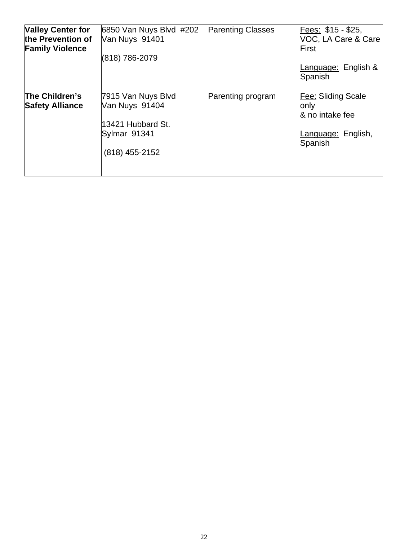| <b>Valley Center for</b><br>the Prevention of<br><b>Family Violence</b> | 6850 Van Nuys Blvd #202<br>Van Nuys 91401<br>(818) 786-2079                                   | <b>Parenting Classes</b> | Fees: \$15 - \$25,<br>VOC, LA Care & Care<br>First<br>Language: English &<br>Spanish  |
|-------------------------------------------------------------------------|-----------------------------------------------------------------------------------------------|--------------------------|---------------------------------------------------------------------------------------|
| The Children's<br><b>Safety Alliance</b>                                | 7915 Van Nuys Blvd<br>Van Nuys 91404<br>13421 Hubbard St.<br>Sylmar 91341<br>$(818)$ 455-2152 | Parenting program        | Fee: Sliding Scale<br>only<br>& no intake fee<br><u>-anguage:</u> English,<br>Spanish |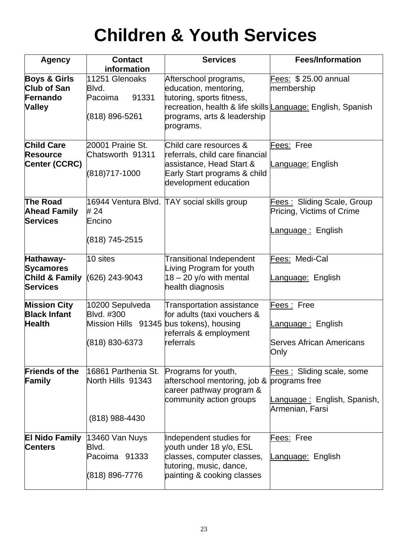## **Children & Youth Services**

| <b>Agency</b>                                                              | <b>Contact</b><br>information                                                               | <b>Services</b>                                                                                                                                                                        | <b>Fees/Information</b>                                                              |
|----------------------------------------------------------------------------|---------------------------------------------------------------------------------------------|----------------------------------------------------------------------------------------------------------------------------------------------------------------------------------------|--------------------------------------------------------------------------------------|
| <b>Boys &amp; Girls</b><br><b>Club of San</b><br>Fernando<br><b>Valley</b> | 11251 Glenoaks<br>Blvd.<br>91331<br>Pacoima<br>(818) 896-5261                               | Afterschool programs,<br>education, mentoring,<br>tutoring, sports fitness,<br>recreation, health & life skills Language: English, Spanish<br>programs, arts & leadership<br>programs. | Fees: \$25.00 annual<br>membership                                                   |
| <b>Child Care</b><br><b>Resource</b><br>Center (CCRC)                      | 20001 Prairie St.<br>Chatsworth 91311<br>(818)717-1000                                      | Child care resources &<br>referrals, child care financial<br>assistance, Head Start &<br>Early Start programs & child<br>development education                                         | Fees: Free<br><u>Language:</u> English                                               |
| The Road<br><b>Ahead Family</b><br><b>Services</b>                         | # 24<br>Encino<br>(818) 745-2515                                                            | 16944 Ventura Blvd. TAY social skills group                                                                                                                                            | Fees: Sliding Scale, Group<br>Pricing, Victims of Crime<br><u>-anguage :</u> English |
| Hathaway-<br><b>Sycamores</b><br>Child & Family<br><b>Services</b>         | 10 sites<br>(626) 243-9043                                                                  | <b>Transitional Independent</b><br>Living Program for youth<br>$18 - 20$ y/o with mental<br>health diagnosis                                                                           | Fees: Medi-Cal<br>Language: English                                                  |
| <b>Mission City</b><br><b>Black Infant</b><br><b>Health</b>                | 10200 Sepulveda<br>Blvd. #300<br>Mission Hills 91345 bus tokens), housing<br>(818) 830-6373 | <b>Transportation assistance</b><br>for adults (taxi vouchers &<br>referrals & employment<br>referrals                                                                                 | Fees: Free<br>Language: English<br><b>Serves African Americans</b><br>Only           |
| <b>Friends of the</b><br><b>Family</b>                                     | 16861 Parthenia St.<br>North Hills 91343<br>(818) 988-4430                                  | Programs for youth,<br>afterschool mentoring, job & programs free<br>career pathway program &<br>community action groups                                                               | Fees: Sliding scale, some<br><u>Language :</u> English, Spanish,<br>Armenian, Farsi  |
| <b>El Nido Family</b><br><b>Centers</b>                                    | 13460 Van Nuys<br>Blvd.<br>Pacoima 91333<br>(818) 896-7776                                  | Independent studies for<br>youth under 18 y/o, ESL<br>classes, computer classes,<br>tutoring, music, dance,<br>painting & cooking classes                                              | Fees: Free<br><u>Language:</u> English                                               |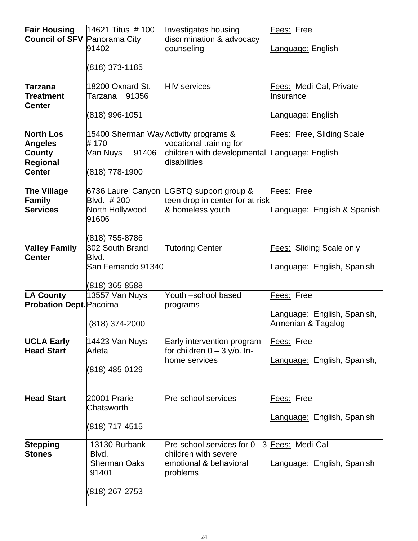| <b>Fair Housing</b>                 | 14621 Titus # 100                     | Investigates housing                          | Fees: Free                  |
|-------------------------------------|---------------------------------------|-----------------------------------------------|-----------------------------|
| <b>Council of SFV Panorama City</b> |                                       | discrimination & advocacy                     |                             |
|                                     | 91402                                 | counseling                                    | Language: English           |
|                                     |                                       |                                               |                             |
|                                     | (818) 373-1185                        |                                               |                             |
| Tarzana                             | 18200 Oxnard St.                      | <b>HIV</b> services                           | Fees: Medi-Cal, Private     |
| <b>Treatment</b>                    | Tarzana 91356                         |                                               | Insurance                   |
| <b>Center</b>                       |                                       |                                               |                             |
|                                     | (818) 996-1051                        |                                               | Language: English           |
| <b>North Los</b>                    | 15400 Sherman Way Activity programs & |                                               | Fees: Free, Sliding Scale   |
| <b>Angeles</b>                      | #170                                  | vocational training for                       |                             |
| <b>County</b>                       | Van Nuys<br>91406                     | children with developmental Language: English |                             |
| <b>Regional</b>                     |                                       | disabilities                                  |                             |
| <b>Center</b>                       | (818) 778-1900                        |                                               |                             |
| <b>The Village</b>                  | 6736 Laurel Canyon                    | LGBTQ support group &                         | Fees: Free                  |
| Family                              | Blvd. #200                            | teen drop in center for at-risk               |                             |
| <b>Services</b>                     | North Hollywood                       | & homeless youth                              | anguage: English & Spanish  |
|                                     | 91606                                 |                                               |                             |
|                                     |                                       |                                               |                             |
|                                     | (818) 755-8786                        |                                               |                             |
| <b>Valley Family</b>                | 302 South Brand                       | <b>Tutoring Center</b>                        | Fees: Sliding Scale only    |
| Center                              | Blvd.<br>San Fernando 91340           |                                               | Language: English, Spanish  |
|                                     |                                       |                                               |                             |
|                                     | (818) 365-8588                        |                                               |                             |
| LA County                           | 13557 Van Nuys                        | Youth -school based                           | Fees: Free                  |
| <b>Probation Dept. Pacoima</b>      |                                       | programs                                      |                             |
|                                     |                                       |                                               | Language: English, Spanish, |
|                                     | (818) 374-2000                        |                                               | Armenian & Tagalog          |
| <b>UCLA Early</b>                   | 14423 Van Nuys                        | Early intervention program                    | Fees: Free                  |
| <b>Head Start</b>                   | Arleta                                | for children $0 - 3$ y/o. In-                 |                             |
|                                     |                                       | home services                                 | Language: English, Spanish, |
|                                     | (818) 485-0129                        |                                               |                             |
|                                     |                                       |                                               |                             |
| <b>Head Start</b>                   | 20001 Prarie                          | <b>Pre-school services</b>                    |                             |
|                                     | Chatsworth                            |                                               | Fees: Free                  |
|                                     |                                       |                                               | Language: English, Spanish  |
|                                     | (818) 717-4515                        |                                               |                             |
|                                     |                                       |                                               |                             |
| <b>Stepping</b>                     | 13130 Burbank                         | Pre-school services for 0 - 3 Fees: Medi-Cal  |                             |
| <b>Stones</b>                       | Blvd.                                 | children with severe                          |                             |
|                                     | <b>Sherman Oaks</b>                   | emotional & behavioral                        | Language: English, Spanish  |
|                                     | 91401                                 | problems                                      |                             |
|                                     |                                       |                                               |                             |
|                                     | (818) 267-2753                        |                                               |                             |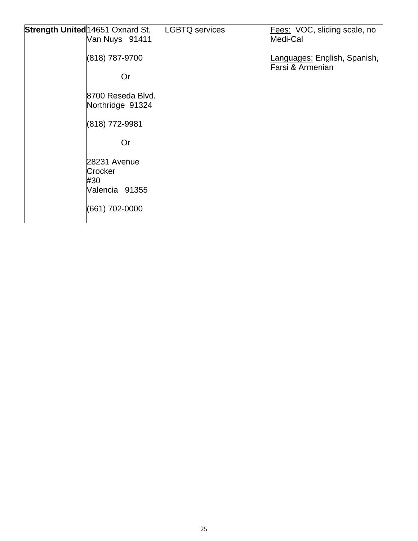| Strength United 14651 Oxnard St.                 | <b>LGBTQ</b> services | Fees: VOC, sliding scale, no                     |
|--------------------------------------------------|-----------------------|--------------------------------------------------|
| Van Nuys 91411                                   |                       | Medi-Cal                                         |
| (818) 787-9700                                   |                       | Languages: English, Spanish,<br>Farsi & Armenian |
| <b>Or</b>                                        |                       |                                                  |
| 8700 Reseda Blvd.<br>Northridge 91324            |                       |                                                  |
| (818) 772-9981                                   |                       |                                                  |
| Or                                               |                       |                                                  |
| 28231 Avenue<br>Crocker<br>#30<br>Valencia 91355 |                       |                                                  |
| (661) 702-0000                                   |                       |                                                  |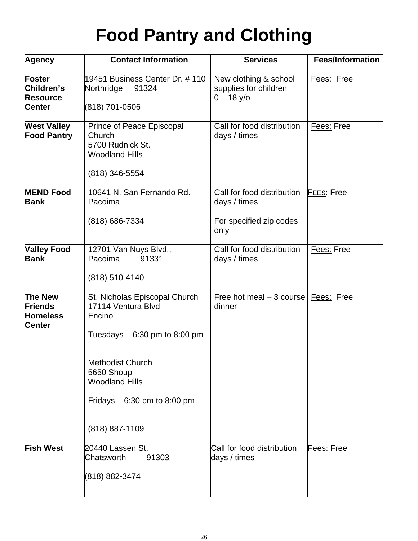# **Food Pantry and Clothing**

| Agency                                                               | <b>Contact Information</b>                                                                                                                                                                                           | <b>Services</b>                                                               | <b>Fees/Information</b> |
|----------------------------------------------------------------------|----------------------------------------------------------------------------------------------------------------------------------------------------------------------------------------------------------------------|-------------------------------------------------------------------------------|-------------------------|
| <b>Foster</b><br>Children's<br><b>Resource</b><br><b>Center</b>      | 19451 Business Center Dr. # 110<br>91324<br>Northridge<br>(818) 701-0506                                                                                                                                             | New clothing & school<br>supplies for children<br>$0 - 18$ y/o                | Fees: Free              |
| <b>West Valley</b><br><b>Food Pantry</b>                             | Prince of Peace Episcopal<br>Church<br>5700 Rudnick St.<br><b>Woodland Hills</b><br>(818) 346-5554                                                                                                                   | Call for food distribution<br>days / times                                    | Fees: Free              |
| <b>MEND Food</b><br><b>Bank</b>                                      | 10641 N. San Fernando Rd.<br>Pacoima<br>(818) 686-7334                                                                                                                                                               | Call for food distribution<br>days / times<br>For specified zip codes<br>only | <b>FEES: Free</b>       |
| <b>Valley Food</b><br><b>Bank</b>                                    | 12701 Van Nuys Blvd.,<br>Pacoima<br>91331<br>(818) 510-4140                                                                                                                                                          | Call for food distribution<br>days / times                                    | Fees: Free              |
| <b>The New</b><br><b>Friends</b><br><b>Homeless</b><br><b>Center</b> | St. Nicholas Episcopal Church<br>17114 Ventura Blvd<br>Encino<br>Tuesdays $-6:30$ pm to 8:00 pm<br><b>Methodist Church</b><br>5650 Shoup<br><b>Woodland Hills</b><br>Fridays $-6:30$ pm to 8:00 pm<br>(818) 887-1109 | Free hot meal $-3$ course<br>dinner                                           | Fees: Free              |
| <b>Fish West</b>                                                     | 20440 Lassen St.<br>Chatsworth<br>91303<br>(818) 882-3474                                                                                                                                                            | Call for food distribution<br>days / times                                    | Fees: Free              |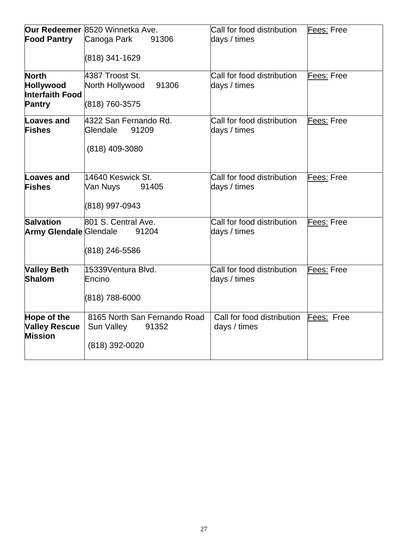| <b>Food Pantry</b>                                                   | Our Redeemer 8520 Winnetka Ave.<br>Canoga Park<br>91306<br>(818) 341-1629 | Call for food distribution<br>days / times            | Fees: Free |
|----------------------------------------------------------------------|---------------------------------------------------------------------------|-------------------------------------------------------|------------|
| <b>North</b><br>Hollywood<br><b>Interfaith Food</b><br><b>Pantry</b> | 4387 Troost St.<br>North Hollywood<br>91306<br>(818) 760-3575             | Call for food distribution<br>days / times            | Fees: Free |
| <b>Loaves and</b><br><b>Fishes</b>                                   | 4322 San Fernando Rd.<br>91209<br>Glendale<br>(818) 409-3080              | Call for food distribution<br>days / times            | Fees: Free |
| <b>Loaves and</b><br><b>Fishes</b>                                   | 14640 Keswick St.<br>Van Nuys<br>91405<br>(818) 997-0943                  | Call for food distribution<br>days / times            | Fees: Free |
| <b>Salvation</b><br><b>Army Glendale Glendale</b>                    | 801 S. Central Ave.<br>91204<br>(818) 246-5586                            | Call for food distribution<br>days / times            | Fees: Free |
| <b>Valley Beth</b><br><b>Shalom</b>                                  | 15339Ventura Blvd.<br>lEncino<br>(818) 788-6000                           | Call for food distribution<br>days / times            | Fees: Free |
| Hope of the<br><b>Valley Rescue</b><br><b>Mission</b>                | 8165 North San Fernando Road<br>Sun Valley<br>91352<br>(818) 392-0020     | Call for food distribution Fees: Free<br>days / times |            |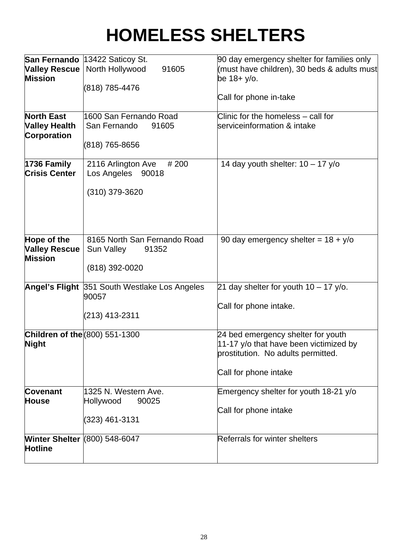# **HOMELESS SHELTERS**

| <b>Valley Rescue</b><br><b>Mission</b>                          | San Fernando 13422 Saticoy St.<br>North Hollywood<br>91605<br>(818) 785-4476 | 90 day emergency shelter for families only<br>(must have children), 30 beds & adults must<br>be 18+ y/o.                                    |
|-----------------------------------------------------------------|------------------------------------------------------------------------------|---------------------------------------------------------------------------------------------------------------------------------------------|
|                                                                 |                                                                              | Call for phone in-take                                                                                                                      |
| <b>North East</b><br><b>Valley Health</b><br><b>Corporation</b> | 1600 San Fernando Road<br>San Fernando<br>91605<br>(818) 765-8656            | Clinic for the homeless - call for<br>serviceinformation & intake                                                                           |
| 1736 Family<br><b>Crisis Center</b>                             | # 200<br>2116 Arlington Ave<br>Los Angeles<br>90018<br>(310) 379-3620        | 14 day youth shelter: $10 - 17$ y/o                                                                                                         |
| Hope of the<br><b>Valley Rescue</b><br><b>Mission</b>           | 8165 North San Fernando Road<br>Sun Valley<br>91352<br>(818) 392-0020        | 90 day emergency shelter = $18 + y$ /o                                                                                                      |
|                                                                 | Angel's Flight 351 South Westlake Los Angeles<br>90057<br>(213) 413-2311     | 21 day shelter for youth $10 - 17$ y/o.<br>Call for phone intake.                                                                           |
| <b>Children of the (800) 551-1300</b><br><b>Night</b>           |                                                                              | 24 bed emergency shelter for youth<br>11-17 y/o that have been victimized by<br>prostitution. No adults permitted.<br>Call for phone intake |
| <b>Covenant</b><br><b>House</b>                                 | 1325 N. Western Ave.<br>Hollywood<br>90025<br>(323) 461-3131                 | Emergency shelter for youth 18-21 y/o<br>Call for phone intake                                                                              |
| <b>Winter Shelter (800) 548-6047</b><br><b>Hotline</b>          |                                                                              | Referrals for winter shelters                                                                                                               |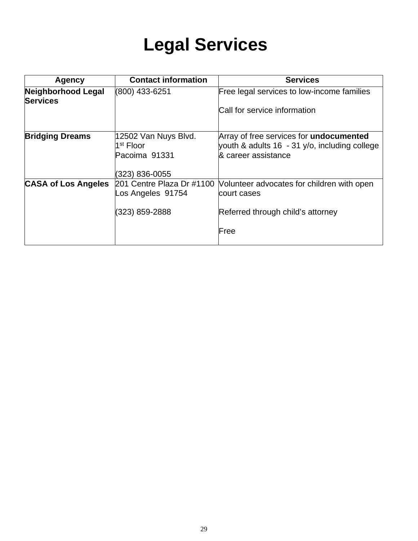### **Legal Services**

| <b>Agency</b>                         | <b>Contact information</b>                                             | <b>Services</b>                                                                                                        |
|---------------------------------------|------------------------------------------------------------------------|------------------------------------------------------------------------------------------------------------------------|
| Neighborhood Legal<br><b>Services</b> | (800) 433-6251                                                         | Free legal services to low-income families<br>Call for service information                                             |
| <b>Bridging Dreams</b>                | 12502 Van Nuys Blvd.<br>$1st$ Floor<br>Pacoima 91331<br>(323) 836-0055 | Array of free services for <b>undocumented</b><br>youth & adults 16 - 31 y/o, including college<br>& career assistance |
| <b>CASA of Los Angeles</b>            | 201 Centre Plaza Dr #1100<br>Los Angeles 91754<br>(323) 859-2888       | Volunteer advocates for children with open<br>court cases<br>Referred through child's attorney<br>Free                 |